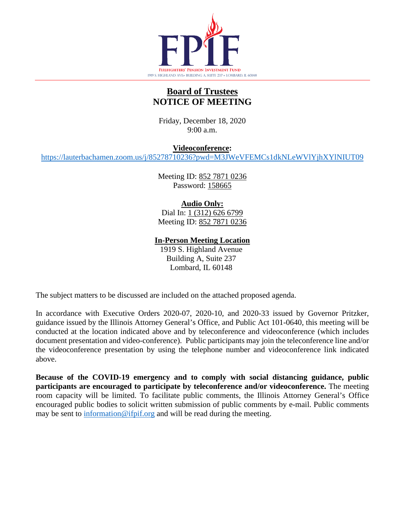

# **Board of Trustees NOTICE OF MEETING**

Friday, December 18, 2020 9:00 a.m.

**Videoconference:**

<https://lauterbachamen.zoom.us/j/85278710236?pwd=M3JWeVFEMCs1dkNLeWVlYjhXYlNIUT09>

Meeting ID: 852 7871 0236 Password: 158665

# **Audio Only:**

Dial In: 1 (312) 626 6799 Meeting ID: 852 7871 0236

**In-Person Meeting Location**

1919 S. Highland Avenue Building A, Suite 237 Lombard, IL 60148

The subject matters to be discussed are included on the attached proposed agenda.

In accordance with Executive Orders 2020-07, 2020-10, and 2020-33 issued by Governor Pritzker, guidance issued by the Illinois Attorney General's Office, and Public Act 101-0640, this meeting will be conducted at the location indicated above and by teleconference and videoconference (which includes document presentation and video-conference). Public participants may join the teleconference line and/or the videoconference presentation by using the telephone number and videoconference link indicated above.

**Because of the COVID-19 emergency and to comply with social distancing guidance, public participants are encouraged to participate by teleconference and/or videoconference.** The meeting room capacity will be limited. To facilitate public comments, the Illinois Attorney General's Office encouraged public bodies to solicit written submission of public comments by e-mail. Public comments may be sent to  $\frac{information@ifpif.org}{ifpif.org}$  and will be read during the meeting.